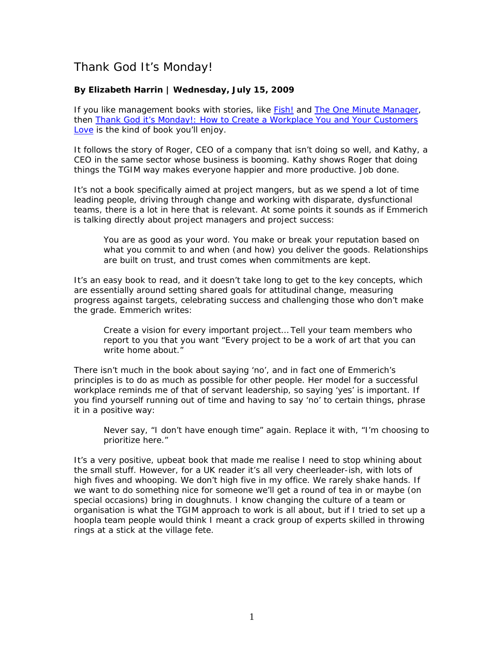## Thank God It's Monday!

## **By Elizabeth Harrin | Wednesday, July 15, 2009**

If you like management books with stories, like *[Fish!](http://www.amazon.co.uk/gp/product/0340819804?ie=UTF8&tag=wwwelizabharr-21&link_code=as3&camp=2506&creative=9298&creativeASIN=0340819804)* and *[The One Minute Manager](http://www.amazon.co.uk/gp/product/0007107927?ie=UTF8&tag=wwwelizabharr-21&link_code=as3&camp=2506&creative=9298&creativeASIN=0007107927)*, then *[Thank God it's Monday!: How to Create a Workplace You and Your Customers](http://www.amazon.co.uk/gp/product/0138158053?ie=UTF8&tag=wwwelizabharr-21&link_code=as3&camp=2506&creative=9298&creativeASIN=0138158053)  [Love](http://www.amazon.co.uk/gp/product/0138158053?ie=UTF8&tag=wwwelizabharr-21&link_code=as3&camp=2506&creative=9298&creativeASIN=0138158053)* is the kind of book you'll enjoy.

It follows the story of Roger, CEO of a company that isn't doing so well, and Kathy, a CEO in the same sector whose business is booming. Kathy shows Roger that doing things the TGIM way makes everyone happier and more productive. Job done.

It's not a book specifically aimed at project mangers, but as we spend a lot of time leading people, driving through change and working with disparate, dysfunctional teams, there is a lot in here that is relevant. At some points it sounds as if Emmerich is talking directly about project managers and project success:

You are as good as your word. You make or break your reputation based on what you commit to and when (and how) you deliver the goods. Relationships are built on trust, and trust comes when commitments are kept.

It's an easy book to read, and it doesn't take long to get to the key concepts, which are essentially around setting shared goals for attitudinal change, measuring progress against targets, celebrating success and challenging those who don't make the grade. Emmerich writes:

Create a vision for every important project… Tell your team members who report to you that you want "Every project to be a work of art that you can write home about."

There isn't much in the book about saying 'no', and in fact one of Emmerich's principles is to do as much as possible for other people. Her model for a successful workplace reminds me of that of servant leadership, so saying 'yes' is important. If you find yourself running out of time and having to say 'no' to certain things, phrase it in a positive way:

Never say, "I don't have enough time" again. Replace it with, "I'm choosing to prioritize here."

It's a very positive, upbeat book that made me realise I need to stop whining about the small stuff. However, for a UK reader it's all very cheerleader-ish, with lots of high fives and whooping. We don't high five in my office. We rarely shake hands. If we want to do something nice for someone we'll get a round of tea in or maybe (on special occasions) bring in doughnuts. I know changing the culture of a team or organisation is what the TGIM approach to work is all about, but if I tried to set up a hoopla team people would think I meant a crack group of experts skilled in throwing rings at a stick at the village fete.